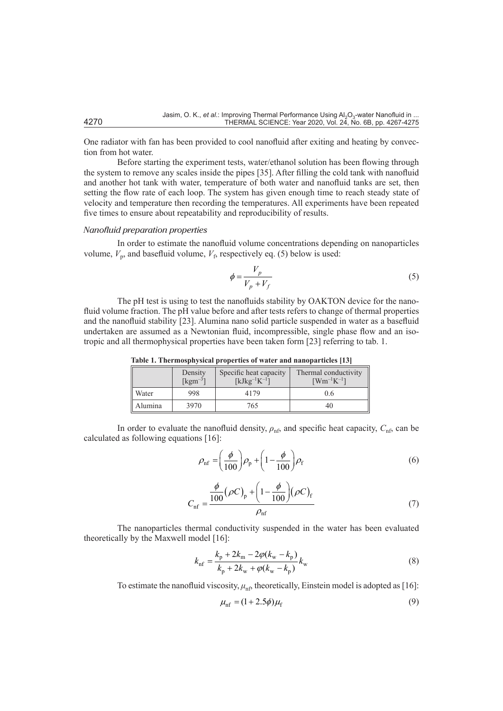One radiator with fan has been provided to cool nanofluid after exiting and heating by convection from hot water.

Before starting the experiment tests, water/ethanol solution has been flowing through the system to remove any scales inside the pipes [35]. After filling the cold tank with nanofluid and another hot tank with water, temperature of both water and nanofluid tanks are set, then setting the flow rate of each loop. The system has given enough time to reach steady state of velocity and temperature then recording the temperatures. All experiments have been repeated five times to ensure about repeatability and reproducibility of results.

## *Nanofluid preparation properties*

In order to estimate the nanofluid volume concentrations depending on nanoparticles volume,  $V_p$ , and basefluid volume,  $V_f$ , respectively eq. (5) below is used:

$$
\phi = \frac{V_p}{V_p + V_f} \tag{5}
$$

The pH test is using to test the nanofluids stability by OAKTON device for the nanofluid volume fraction. The pH value before and after tests refers to change of thermal properties and the nanofluid stability [23]. Alumina nano solid particle suspended in water as a basefluid undertaken are assumed as a Newtonian fluid, incompressible, single phase flow and an isotropic and all thermophysical properties have been taken form [23] referring to tab. 1.

|         | Density<br>$\lceil \text{kgm}^{-3} \rceil$ | Specific heat capacity<br>$[kJkg^{-1}K^{-1}]$ | Thermal conductivity<br>$\lceil Wm^{-1}K^{-1}\rceil$ |
|---------|--------------------------------------------|-----------------------------------------------|------------------------------------------------------|
| Water   | 998                                        | 4179                                          | 0.6                                                  |
| Alumina | 3970                                       | 765                                           | 40                                                   |

**Table 1. Thermosphysical properties of water and nanoparticles [13]**

In order to evaluate the nanofluid density,  $\rho_{\text{nft}}$  and specific heat capacity,  $C_{\text{nft}}$  can be calculated as following equations [16]:

$$
\rho_{\rm nf} = \left(\frac{\phi}{100}\right) \rho_{\rm p} + \left(1 - \frac{\phi}{100}\right) \rho_{\rm f} \tag{6}
$$

$$
C_{\rm nf} = \frac{\frac{\phi}{100} (\rho C)_{\rm p} + \left(1 - \frac{\phi}{100}\right) (\rho C)_{\rm f}}{\rho_{\rm nf}} \tag{7}
$$

The nanoparticles thermal conductivity suspended in the water has been evaluated theoretically by the Maxwell model [16]:

$$
k_{\rm nf} = \frac{k_{\rm p} + 2k_{\rm m} - 2\varphi(k_{\rm w} - k_{\rm p})}{k_{\rm p} + 2k_{\rm w} + \varphi(k_{\rm w} - k_{\rm p})} k_{\rm w}
$$
(8)

To estimate the nanofluid viscosity,  $\mu_{\rm nfs}$  theoretically, Einstein model is adopted as [16]:

$$
\mu_{\text{nf}} = (1 + 2.5\phi)\mu_{\text{f}} \tag{9}
$$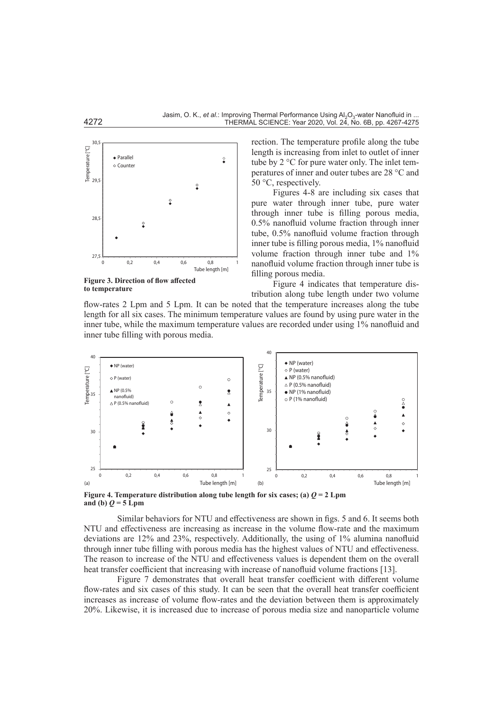

**Figure 3. Direction of flow affected to temperature**

rection. The temperature profile along the tube length is increasing from inlet to outlet of inner tube by 2 °C for pure water only. The inlet temperatures of inner and outer tubes are 28 °C and 50 °C, respectively.

Figures 4-8 are including six cases that pure water through inner tube, pure water through inner tube is filling porous media, 0.5% nanofluid volume fraction through inner tube, 0.5% nanofluid volume fraction through inner tube is filling porous media, 1% nanofluid volume fraction through inner tube and 1% nanofluid volume fraction through inner tube is filling porous media.

Figure 4 indicates that temperature distribution along tube length under two volume

flow-rates 2 Lpm and 5 Lpm. It can be noted that the temperature increases along the tube length for all six cases. The minimum temperature values are found by using pure water in the inner tube, while the maximum temperature values are recorded under using 1% nanofluid and inner tube filling with porous media.



**Figure 4. Temperature distribution along tube length for six cases; (a)**  $Q = 2$  **Lpm** and (b)  $Q = 5$  Lpm

Similar behaviors for NTU and effectiveness are shown in figs. 5 and 6. It seems both NTU and effectiveness are increasing as increase in the volume flow-rate and the maximum deviations are 12% and 23%, respectively. Additionally, the using of 1% alumina nanofluid through inner tube filling with porous media has the highest values of NTU and effectiveness. The reason to increase of the NTU and effectiveness values is dependent them on the overall heat transfer coefficient that increasing with increase of nanofluid volume fractions [13].

Figure 7 demonstrates that overall heat transfer coefficient with different volume flow-rates and six cases of this study. It can be seen that the overall heat transfer coefficient increases as increase of volume flow-rates and the deviation between them is approximately 20%. Likewise, it is increased due to increase of porous media size and nanoparticle volume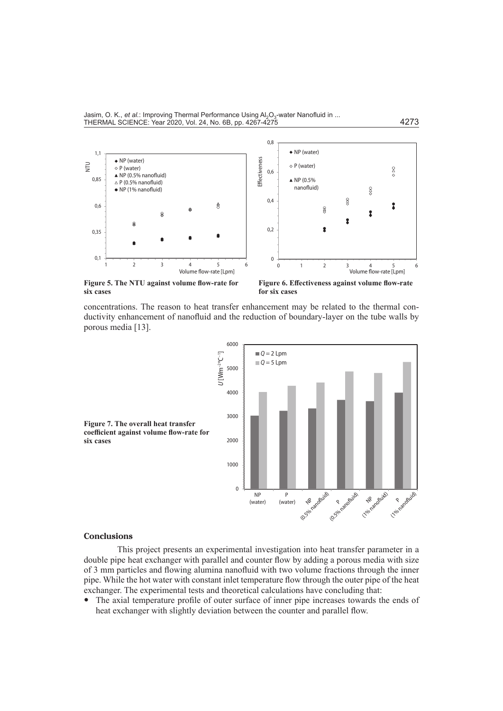

**Figure 5. The NTU against volume flow-rate for six cases**

**Figure 6. Effectiveness against volume flow-rate for six cases**

concentrations. The reason to heat transfer enhancement may be related to the thermal conductivity enhancement of nanofluid and the reduction of boundary-layer on the tube walls by porous media [13].



## **Conclusions**

This project presents an experimental investigation into heat transfer parameter in a double pipe heat exchanger with parallel and counter flow by adding a porous media with size of 3 mm particles and flowing alumina nanofluid with two volume fractions through the inner pipe. While the hot water with constant inlet temperature flow through the outer pipe of the heat exchanger. The experimental tests and theoretical calculations have concluding that:

• The axial temperature profile of outer surface of inner pipe increases towards the ends of heat exchanger with slightly deviation between the counter and parallel flow.